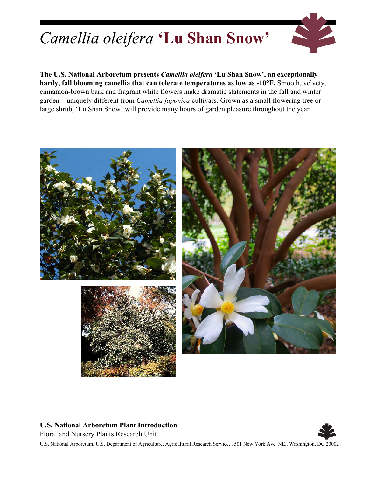## *Camellia oleifera* **'Lu Shan Snow'**



**The U.S. National Arboretum presents** *Camellia oleifera* **'Lu Shan Snow', an exceptionally hardy, fall blooming camellia that can tolerate temperatures as low as -10°F.** Smooth, velvety, cinnamon-brown bark and fragrant white flowers make dramatic statements in the fall and winter garden**—**uniquely different from *Camellia japonica* cultivars. Grown as a small flowering tree or large shrub, 'Lu Shan Snow' will provide many hours of garden pleasure throughout the year.



## **U.S. National Arboretum Plant Introduction**

Floral and Nursery Plants Research Unit



U.S. National Arboretum, U.S. Department of Agriculture, Agricultural Research Service, 3501 New York Ave. NE., Washington, DC 20002